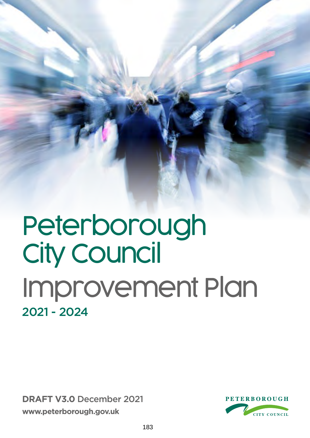# Peterborough City Council Improvement Plan 2021 - 2024

**DRAFT V3.0** December 2021 **www.peterborough.gov.uk** 

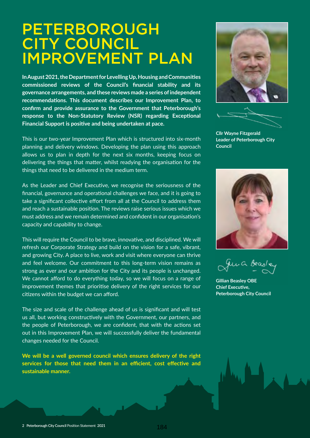# PETERBOROUGH CITY COUNCIL IMPROVEMENT PLAN

 **response to the Non-Statutory Review (NSR) regarding Exceptional In August 2021, the Department forLevelling Up, Housing and Communities commissioned reviews of the Council's financial stability and its governance arrangements, and these reviews made a series of independent recommendations. This document describes our Improvement Plan, to confirm and provide assurance to the Government that Peterborough's Financial Support is positive and being undertaken at pace.** 

This is our two-year Improvement Plan which is structured into six-month planning and delivery windows. Developing the plan using this approach allows us to plan in depth for the next six months, keeping focus on delivering the things that matter, whilst readying the organisation for the things that need to be delivered in the medium term.

 As the Leader and Chief Executive, we recognise the seriousness of the financial, governance and operational challenges we face, and it is going to take a significant collective effort from all at the Council to address them and reach a sustainable position. The reviews raise serious issues which we must address and we remain determined and confident in our organisation's capacity and capability to change.

 strong as ever and our ambition for the City and its people is unchanged. improvement themes that prioritise delivery of the right services for our This will require the Council to be brave, innovative, and disciplined. We will refresh our Corporate Strategy and build on the vision for a safe, vibrant, and growing City. A place to live, work and visit where everyone can thrive and feel welcome. Our commitment to this long-term vision remains as We cannot afford to do everything today, so we will focus on a range of citizens within the budget we can afford.

 out in this Improvement Plan, we will successfully deliver the fundamental The size and scale of the challenge ahead of us is significant and will test us all, but working constructively with the Government, our partners, and the people of Peterborough, we are confident, that with the actions set changes needed for the Council.

 **We will be a well governed council which ensures delivery of the right services for those that need them in an efficient, cost effective and sustainable manner.**



**Cllr Wayne Fitzgerald Leader of Peterborough City Council** 



Juna Beaste

**Gillian Beasley OBE Chief Executive, Peterborough City Council**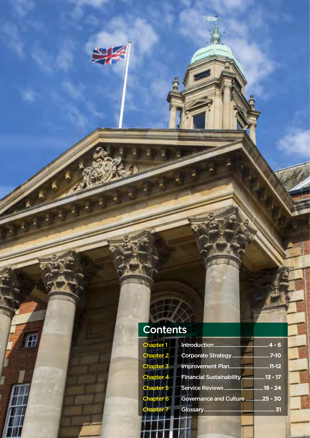# **Contents**

23

 $\mathbb H$ 

185

ı

| <b>Chapter 1</b> | 4 - 6                             |
|------------------|-----------------------------------|
| <b>Chapter 2</b> |                                   |
| <b>Chapter 3</b> | Improvement Plan11-12             |
| <b>Chapter 4</b> | Financial Sustainability  13 - 17 |
| <b>Chapter 5</b> | Service Reviews 18 - 24           |
| <b>Chapter 6</b> | Governance and Culture 25 - 30    |
| <b>Chapter 7</b> |                                   |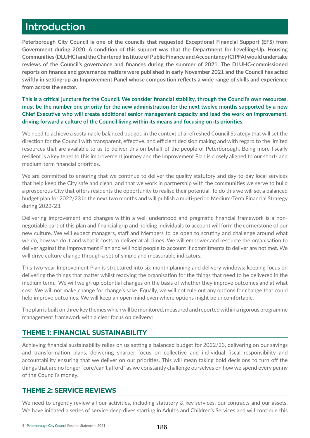## Introduction

**Peterborough City Council is one of the councils that requested Exceptional Financial Support (EFS) from Government during 2020. A condition of this support was that the Department for Levelling-Up, Housing Communities (DLUHC) and the Chartered Institute of Public Finance and Accountancy (CIPFA) would undertake reviews of the Council's governance and finances during the summer of 2021. The DLUHC-commissioned reports on finance and governance matters were published in early November 2021 and the Council has acted swiftly in setting-up an Improvement Panel whose composition reflects a wide range of skills and experience from across the sector.**

**This is a critical juncture for the Council. We consider financial stability, through the Council's own resources, must be the number one priority for the new administration for the next twelve months supported by a new Chief Executive who will create additional senior management capacity and lead the work on improvement, driving forward a culture of the Council living within its means and focusing on its priorities.** 

We need to achieve a sustainable balanced budget, in the context of a refreshed Council Strategy that will set the direction for the Council with transparent, effective, and efficient decision making and with regard to the limited resources that are available to us to deliver this on behalf of the people of Peterborough. Being more fiscally resilient is a key tenet to this improvement journey and the Improvement Plan is closely aligned to our short- and medium-term financial priorities.

We are committed to ensuring that we continue to deliver the quality statutory and day-to-day local services that help keep the City safe and clean, and that we work in partnership with the communities we serve to build a prosperous City that offers residents the opportunity to realise their potential. To do this we will set a balanced budget plan for 2022/23 in the next two months and will publish a multi-period Medium-Term Financial Strategy during 2022/23.

Delivering improvement and changes within a well understood and pragmatic financial framework is a nonnegotiable part of this plan and financial grip and holding individuals to account will form the cornerstone of our new culture. We will expect managers, staff and Members to be open to scrutiny and challenge around what we do, how we do it and what it costs to deliver at all times. We will empower and resource the organisation to deliver against the Improvement Plan and will hold people to account if commitments to deliver are not met. We will drive culture change through a set of simple and measurable indicators.

This two-year Improvement Plan is structured into six-month planning and delivery windows: keeping focus on delivering the things that matter whilst readying the organisation for the things that need to be delivered in the medium term. We will weigh up potential changes on the basis of whether they improve outcomes and at what cost. We will not make change for change's sake. Equally, we will not rule out any options for change that could help improve outcomes. We will keep an open mind even where options might be uncomfortable.

The plan is built on three key themes which will be monitored, measured and reported within a rigorous programme management framework with a clear focus on delivery:

#### **THEME 1: FINANCIAL SUSTAINABILITY**

Achieving financial sustainability relies on us setting a balanced budget for 2022/23, delivering on our savings and transformation plans, delivering sharper focus on collective and individual fiscal responsibility and accountability ensuring that we deliver on our priorities. This will mean taking bold decisions to turn off the things that are no longer "core/can't afford" as we constantly challenge ourselves on how we spend every penny of the Council's money.

#### **THEME 2: SERVICE REVIEWS**

We need to urgently review all our activities, including statutory & key services, our contracts and our assets. We have initiated a series of service deep dives starting in Adult's and Children's Services and will continue this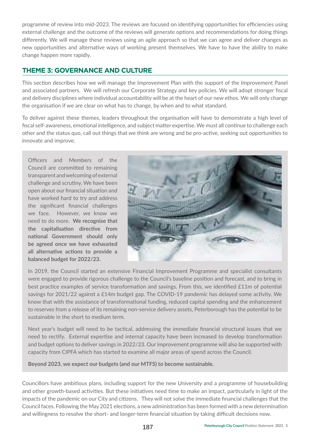programme of review into mid-2023. The reviews are focused on identifying opportunities for efficiencies using external challenge and the outcome of the reviews will generate options and recommendations for doing things differently. We will manage these reviews using an agile approach so that we can agree and deliver changes as new opportunities and alternative ways of working present themselves. We have to have the ability to make change happen more rapidly.

#### **THEME 3: GOVERNANCE AND CULTURE**

This section describes how we will manage the Improvement Plan with the support of the Improvement Panel and associated partners. We will refresh our Corporate Strategy and key policies. We will adopt stronger fiscal and delivery disciplines where individual accountability will be at the heart of our new ethos. We will only change the organisation if we are clear on what has to change, by when and to what standard.

To deliver against these themes, leaders throughout the organisation will have to demonstrate a high level of fiscal self-awareness, emotional intelligence, and subject matter expertise. We must all continue to challenge each other and the status quo, call out things that we think are wrong and be pro-active, seeking out opportunities to innovate and improve.

Officers and Members of the Council are committed to remaining transparent and welcoming of external challenge and scrutiny. We have been open about our financial situation and have worked hard to try and address the significant financial challenges we face. However, we know we need to do more. **We recognise that the capitalisation directive from national Government should only be agreed once we have exhausted all alternative actions to provide a balanced budget for 2022/23.** 



In 2019, the Council started an extensive Financial Improvement Programme and specialist consultants were engaged to provide rigorous challenge to the Council's baseline position and forecast, and to bring in best practice examples of service transformation and savings. From this, we identified £11m of potential savings for 2021/22 against a £14m budget gap. The COVID-19 pandemic has delayed some activity. We know that with the assistance of transformational funding, reduced capital spending and the enhancement to reserves from a release of its remaining non-service delivery assets, Peterborough has the potential to be sustainable in the short to medium term.

Next year's budget will need to be tactical, addressing the immediate financial structural issues that we need to rectify. External expertise and internal capacity have been increased to develop transformation and budget options to deliver savings in 2022/23. Our improvement programme will also be supported with capacity from CIPFA which has started to examine all major areas of spend across the Council.

**Beyond 2023, we expect our budgets (and our MTFS) to become sustainable.**

Councillors have ambitious plans, including support for the new University and a programme of housebuilding and other growth-based activities. But these initiatives need time to make an impact, particularly in light of the impacts of the pandemic on our City and citizens. They will not solve the immediate financial challenges that the Council faces. Following the May 2021 elections, a newadministration has been formed with a newdetermination and willingness to resolve the short- and longer-term financial situation by taking difficult decisions now.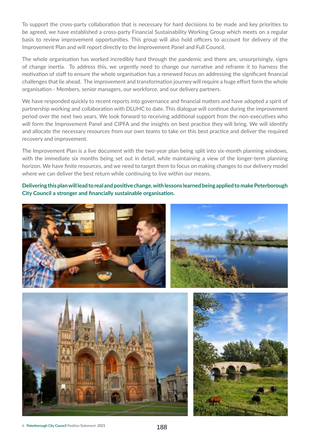To support the cross-party collaboration that is necessary for hard decisions to be made and key priorities to be agreed, we have established a cross-party Financial Sustainability Working Group which meets on a regular basis to review improvement opportunities. This group will also hold officers to account for delivery of the Improvement Plan and will report directly to the Improvement Panel and Full Council.

The whole organisation has worked incredibly hard through the pandemic and there are, unsurprisingly, signs of change inertia. To address this, we urgently need to change our narrative and reframe it to harness the motivation of staff to ensure the whole organisation has a renewed focus on addressing the significant financial challenges that lie ahead. The improvement and transformation journey will require a huge effort form the whole organisation - Members, senior managers, our workforce, and our delivery partners.

We have responded quickly to recent reports into governance and financial matters and have adopted a spirit of partnership working and collaboration with DLUHC to date. This dialogue will continue during the improvement period over the next two years. We look forward to receiving additional support from the non-executives who will form the Improvement Panel and CIPFA and the insights on best practice they will bring. We will identify and allocate the necessary resources from our own teams to take on this best practice and deliver the required recovery and improvement.

The Improvement Plan is a live document with the two-year plan being split into six-month planning windows, with the immediate six months being set out in detail, while maintaining a view of the longer-term planning horizon. We have finite resources, and we need to target them to focus on making changes to our delivery model where we can deliver the best return while continuing to live within our means.

**Delivering this plan will lead to real and positive change, with lessons learnedbeing applied to make Peterborough City Council a stronger and financially sustainable organisation.**





![](_page_5_Picture_7.jpeg)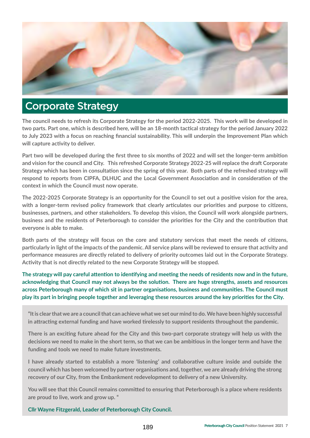![](_page_6_Picture_0.jpeg)

### Corporate Strategy

**The council needs to refresh its Corporate Strategy for the period 2022-2025. This work will be developed in two parts. Part one, which is described here, will be an 18-month tactical strategy for the period January 2022 to July 2023 with a focus on reaching financial sustainability. This will underpin the Improvement Plan which will capture activity to deliver.** 

**Part two will be developed during the first three to six months of 2022 and will set the longer-term ambition and vision for the council and City. This refreshed Corporate Strategy 2022-25 will replace the draft Corporate Strategy which has been in consultation since the spring of this year. Both parts of the refreshed strategy will respond to reports from CIPFA, DLHUC and the Local Government Association and in consideration of the context in which the Council must now operate.**

**The 2022-2025 Corporate Strategy is an opportunity for the Council to set out a positive vision for the area, with a longer-term revised policy framework that clearly articulates our priorities and purpose to citizens, businesses, partners, and other stakeholders. To develop this vision, the Council will work alongside partners, business and the residents of Peterborough to consider the priorities for the City and the contribution that everyone is able to make.** 

**Both parts of the strategy will focus on the core and statutory services that meet the needs of citizens, particularly in light of the impacts of the pandemic. All service plans will be reviewed to ensure that activity and performance measures are directly related to delivery of priority outcomes laid out in the Corporate Strategy. Activity that is not directly related to the new Corporate Strategy will be stopped.** 

**The strategy will pay careful attention to identifying and meeting the needs of residents now and in the future, acknowledging that Council may not always be the solution. There are huge strengths, assets and resources across Peterborough many of which sit in partner organisations, business and communities. The Council must play its part in bringing people together and leveraging these resources around the key priorities for the City.** 

**"It is clearthat we are a council that can achieve what we set our mind to do. We have been highly successful in attracting external funding and have worked tirelessly to support residents throughout the pandemic.** 

**There is an exciting future ahead for the City and this two-part corporate strategy will help us with the decisions we need to make in the short term, so that we can be ambitious in the longer term and have the funding and tools we need to make future investments.**

**I have already started to establish a more 'listening' and collaborative culture inside and outside the council which has been welcomed by partner organisations and, together, we are already driving the strong recovery of our City, from the Embankment redevelopment to delivery of a new University.** 

**You will see that this Council remains committed to ensuring that Peterborough is a place where residents are proud to live, work and grow up. "**

**Cllr Wayne Fitzgerald, Leader of Peterborough City Council.**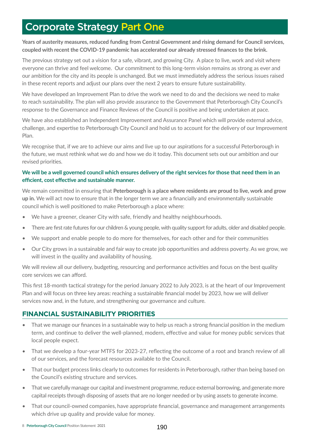# Corporate Strategy Part One

**Years of austerity measures, reduced funding from Central Government and rising demand for Council services, coupled with recent the COVID-19 pandemic has accelerated our already stressed finances to the brink.**

The previous strategy set out a vision for a safe, vibrant, and growing City. A place to live, work and visit where everyone can thrive and feel welcome. Our commitment to this long-term vision remains as strong as ever and our ambition for the city and its people is unchanged. But we must immediately address the serious issues raised in these recent reports and adjust our plans over the next 2 years to ensure future sustainability.

We have developed an Improvement Plan to drive the work we need to do and the decisions we need to make to reach sustainability. The plan will also provide assurance to the Government that Peterborough City Council's response to the Governance and Finance Reviews of the Council is positive and being undertaken at pace.

We have also established an Independent Improvement and Assurance Panel which will provide external advice, challenge, and expertise to Peterborough City Council and hold us to account for the delivery of our Improvement Plan.

We recognise that, if we are to achieve our aims and live up to our aspirations for a successful Peterborough in the future, we must rethink what we do and how we do it today. This document sets out our ambition and our revised priorities.

#### **We will be a well governed council which ensures delivery of the right services for those that need them in an efficient, cost effective and sustainable manner.**

We remain committed in ensuring that **Peterborough is a place where residents are proud to live, work and grow up in.** We will act now to ensure that in the longer term we are a financially and environmentally sustainable council which is well positioned to make Peterborough a place where:

- We have a greener, cleaner City with safe, friendly and healthy neighbourhoods.
- There are first rate futures for our children & young people, with quality support for adults, older and disabled people.
- We support and enable people to do more for themselves, for each other and for their communities
- Our City grows in a sustainable and fair way to create job opportunities and address poverty. As we grow, we will invest in the quality and availability of housing.

We will review all our delivery, budgeting, resourcing and performance activities and focus on the best quality core services we can afford.

This first 18-month tactical strategy for the period January 2022 to July 2023, is at the heart of our Improvement Plan and will focus on three key areas: reaching a sustainable financial model by 2023, how we will deliver services now and, in the future, and strengthening our governance and culture.

#### **FINANCIAL SUSTAINABILITY PRIORITIES**

- That we manage our finances in a sustainable way to help us reach a strong financial position in the medium term, and continue to deliver the well-planned, modern, effective and value for money public services that local people expect.
- That we develop a four-year MTFS for 2023-27, reflecting the outcome of a root and branch review of all of our services, and the forecast resources available to the Council.
- That our budget process links clearly to outcomes for residents in Peterborough, rather than being based on the Council's existing structure and services.
- That we carefully manage our capital and investment programme, reduce external borrowing, and generate more capital receipts through disposing of assets that are no longer needed or by using assets to generate income.
- That our council-owned companies, have appropriate financial, governance and management arrangements which drive up quality and provide value for money.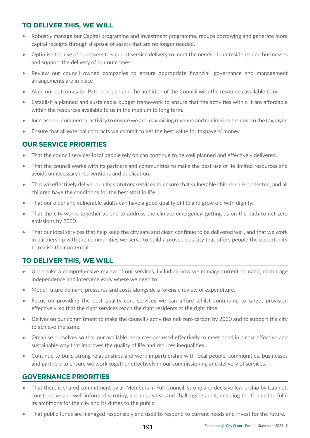#### **TO DELIVER THIS, WE WILL**

- Robustly manage our Capital programme and Investment programme, reduce borrowing and generate more capital receipts through disposal of assets that are no longer needed.
- Optimise the use of our assets to support service delivery to meet the needs of our residents and businesses and support the delivery of our outcomes
- Review our council owned companies to ensure appropriate financial, governance and management arrangements are in place
- Align our outcomes for Peterborough and the ambition of the Council with the resources available to us.
- Establish a planned and sustainable budget framework to ensure that the activities within it are affordable within the resources available to us in the medium to long term.
- Increase our commercial activity to ensure we are maximising revenue and minimising the cost to the taxpayer.
- Ensure that all external contracts we commit to get the best value for taxpayers' money.

#### **OUR SERVICE PRIORITIES**

- That the council services local people rely on can continue to be well planned and effectively delivered.
- That the council works with its partners and communities to make the best use of its limited resources and avoids unnecessary interventions and duplication.
- That we effectively deliver quality statutory services to ensure that vulnerable children are protected, and all children have the conditions for the best start in life.
- That our older and vulnerable adults can have a good quality of life and grow old with dignity.
- That the city works together as one to address the climate emergency, getting us on the path to net zero emissions by 2030.
- That our local services that help keep the city safe and clean continue to be delivered well, and that we work in partnership with the communities we serve to build a prosperous city that offers people the opportunity to realise their potential.

#### **TO DELIVER THIS, WE WILL**

- Undertake a comprehensive review of our services, including how we manage current demand, encourage independence and intervene early where we need to.
- Model future demand pressures and costs alongside a forensic review of expenditure.
- Focus on providing the best quality core services we can afford whilst continuing to target provision effectively, so that the right services reach the right residents at the right time.
- Deliver on our commitment to make the council's activities net-zero carbon by 2030 and to support the city to achieve the same.
- Organise ourselves so that our available resources are used effectively to meet need in a cost effective and sustainable way that improves the quality of life and reduces inequalities.
- Continue to build strong relationships and work in partnership with local people, communities, businesses and partners to ensure we work together effectively in our commissioning and delivery of services.

#### **GOVERNANCE PRIORITIES**

- That there is shared commitment by all Members in Full Council, strong and decisive leadership by Cabinet, constructive and well-informed scrutiny, and inquisitive and challenging audit, enabling the Council to fulfil its ambitions for the city and its duties to the public.
- That public funds are managed responsibly and used to respond to current needs and invest for the future.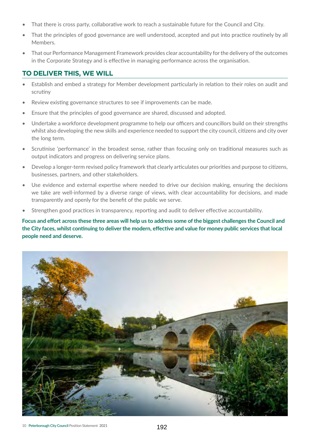- That there is cross party, collaborative work to reach a sustainable future for the Council and City.
- That the principles of good governance are well understood, accepted and put into practice routinely by all Members.
- That our Performance Management Framework provides clear accountability forthe delivery ofthe outcomes in the Corporate Strategy and is effective in managing performance across the organisation.

#### **TO DELIVER THIS, WE WILL**

- Establish and embed a strategy for Member development particularly in relation to their roles on audit and scrutiny
- Review existing governance structures to see if improvements can be made.
- Ensure that the principles of good governance are shared, discussed and adopted.
- Undertake a workforce development programme to help our officers and councillors build on their strengths whilst also developing the new skills and experience needed to support the city council, citizens and city over the long term.
- Scrutinise 'performance' in the broadest sense, rather than focusing only on traditional measures such as output indicators and progress on delivering service plans.
- Develop a longer-term revised policy framework that clearly articulates our priorities and purpose to citizens, businesses, partners, and other stakeholders.
- Use evidence and external expertise where needed to drive our decision making, ensuring the decisions we take are well-informed by a diverse range of views, with clear accountability for decisions, and made transparently and openly for the benefit of the public we serve.
- Strengthen good practices in transparency, reporting and audit to deliver effective accountability.

**Focus and effort across these three areas will help us to address some of the biggest challenges the Council and the City faces, whilst continuing to deliver the modern, effective and value for money public services that local people need and deserve.**

![](_page_9_Picture_13.jpeg)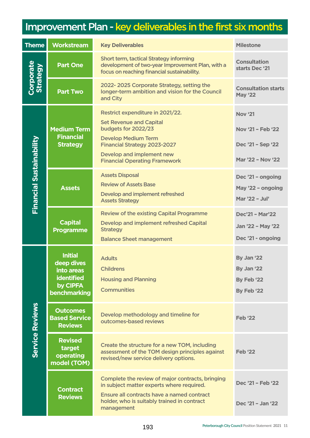# Improvement Plan - key deliverables in the first six months

| <b>Theme</b>             | <b>Workstream</b>                                                                    | <b>Key Deliverables</b>                                                                                                                                                                                                             | <b>Milestone</b>                                                              |
|--------------------------|--------------------------------------------------------------------------------------|-------------------------------------------------------------------------------------------------------------------------------------------------------------------------------------------------------------------------------------|-------------------------------------------------------------------------------|
| Corporate<br>Strategy    | <b>Part One</b>                                                                      | Short term, tactical Strategy informing<br>development of two-year Improvement Plan, with a<br>focus on reaching financial sustainability.                                                                                          | <b>Consultation</b><br>starts Dec '21                                         |
|                          | <b>Part Two</b>                                                                      | 2022-2025 Corporate Strategy, setting the<br>longer-term ambition and vision for the Council<br>and City                                                                                                                            | <b>Consultation starts</b><br><b>May '22</b>                                  |
| Financial Sustainability | <b>Medium Term</b><br><b>Financial</b><br><b>Strategy</b>                            | Restrict expenditure in 2021/22.<br><b>Set Revenue and Capital</b><br>budgets for 2022/23<br><b>Develop Medium Term</b><br><b>Financial Strategy 2023-2027</b><br>Develop and implement new<br><b>Financial Operating Framework</b> | <b>Nov '21</b><br>Nov '21 - Feb '22<br>Dec '21 - Sep '22<br>Mar '22 - Nov '22 |
|                          | <b>Assets</b>                                                                        | <b>Assets Disposal</b><br><b>Review of Assets Base</b><br>Develop and implement refreshed<br><b>Assets Strategy</b>                                                                                                                 | Dec '21 - ongoing<br>May '22 - ongoing<br>Mar '22 - Jul'                      |
|                          | <b>Capital</b><br><b>Programme</b>                                                   | <b>Review of the existing Capital Programme</b><br>Develop and implement refreshed Capital<br><b>Strategy</b><br><b>Balance Sheet management</b>                                                                                    | Dec'21 - Mar'22<br>Jan '22 - May '22<br>Dec '21 - ongoing                     |
| <b>Service Reviews</b>   | <b>Initial</b><br>deep dives<br>into areas<br>identified<br>by CIPFA<br>benchmarking | <b>Adults</b><br><b>Childrens</b><br><b>Housing and Planning</b><br><b>Communities</b>                                                                                                                                              | By Jan '22<br>By Jan '22<br>By Feb '22<br>By Feb '22                          |
|                          | <b>Outcomes</b><br><b>Based Service</b><br><b>Reviews</b>                            | Develop methodology and timeline for<br>outcomes-based reviews                                                                                                                                                                      | <b>Feb '22</b>                                                                |
|                          | <b>Revised</b><br>target<br>operating<br>model (TOM)                                 | Create the structure for a new TOM, including<br>assessment of the TOM design principles against<br>revised/new service delivery options.                                                                                           | <b>Feb '22</b>                                                                |
|                          | <b>Contract</b><br><b>Reviews</b>                                                    | Complete the review of major contracts, bringing<br>in subject matter experts where required.<br>Ensure all contracts have a named contract<br>holder, who is suitably trained in contract<br>management                            | Dec '21 - Feb '22<br>Dec '21 - Jan '22                                        |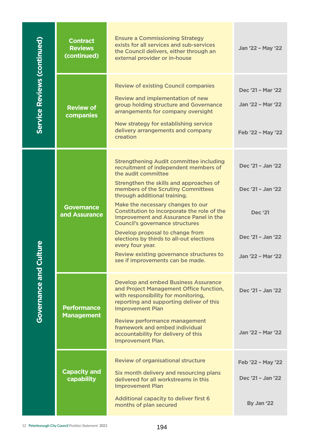|                                    | <b>Contract</b><br><b>Reviews</b><br>(continued) | <b>Ensure a Commissioning Strategy</b><br>exists for all services and sub-services<br>the Council delivers, either through an<br>external provider or in-house                                                                                                                                                                                                                                                                                                                                                                                                                                    | Jan '22 - May '22                                                                                  |
|------------------------------------|--------------------------------------------------|---------------------------------------------------------------------------------------------------------------------------------------------------------------------------------------------------------------------------------------------------------------------------------------------------------------------------------------------------------------------------------------------------------------------------------------------------------------------------------------------------------------------------------------------------------------------------------------------------|----------------------------------------------------------------------------------------------------|
| <b>Service Reviews (continued)</b> | <b>Review of</b><br>companies                    | <b>Review of existing Council companies</b><br>Review and implementation of new<br>group holding structure and Governance<br>arrangements for company oversight<br>New strategy for establishing service<br>delivery arrangements and company<br>creation                                                                                                                                                                                                                                                                                                                                         | Dec '21 - Mar '22<br>Jan '22 - Mar '22<br>Feb '22 - May '22                                        |
| <b>Governance and C</b>            | <b>Governance</b><br>and Assurance               | <b>Strengthening Audit committee including</b><br>recruitment of independent members of<br>the audit committee<br>Strengthen the skills and approaches of<br>members of the Scrutiny Committees<br>through additional training.<br>Make the necessary changes to our<br>Constitution to incorporate the role of the<br><b>Improvement and Assurance Panel in the</b><br><b>Council's governance structures</b><br>Develop proposal to change from<br>elections by thirds to all-out elections<br>every four year.<br>Review existing governance structures to<br>see if improvements can be made. | Dec '21 - Jan '22<br>Dec '21 - Jan '22<br><b>Dec '21</b><br>Dec '21 - Jan '22<br>Jan '22 - Mar '22 |
|                                    | <b>Performance</b><br><b>Management</b>          | <b>Develop and embed Business Assurance</b><br>and Project Management Office function,<br>with responsibility for monitoring,<br>reporting and supporting deliver of this<br><b>Improvement Plan</b><br><b>Review performance management</b><br>framework and embed individual<br>accountability for delivery of this<br><b>Improvement Plan.</b>                                                                                                                                                                                                                                                 | Dec '21 - Jan '22<br>Jan '22 - Mar '22                                                             |
|                                    | <b>Capacity and</b><br>capability                | <b>Review of organisational structure</b><br>Six month delivery and resourcing plans<br>delivered for all workstreams in this<br><b>Improvement Plan</b><br><b>Additional capacity to deliver first 6</b><br>months of plan secured                                                                                                                                                                                                                                                                                                                                                               | Feb '22 - May '22<br>Dec '21 - Jan '22<br>By Jan '22                                               |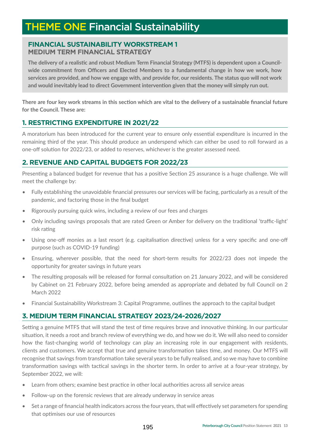# THEME ONE Financial Sustainability

#### **FINANCIAL SUSTAINABILITY WORKSTREAM 1 MEDIUM TERM FINANCIAL STRATEGY**

**The delivery of a realistic and robust Medium Term Financial Strategy (MTFS) is dependent upon a Council wide commitment from Officers and Elected Members to a fundamental change in how we work, how services are provided, and how we engage with, and provide for, our residents. The status quo will not work and would inevitably lead to direct Government intervention given that the money will simply run out.**

**There are four key work streams in this section which are vital to the delivery of a sustainable financial future for the Council. These are:**

#### **1. RESTRICTING EXPENDITURE IN 2021/22**

A moratorium has been introduced for the current year to ensure only essential expenditure is incurred in the remaining third of the year. This should produce an underspend which can either be used to roll forward as a one-off solution for 2022/23, or added to reserves, whichever is the greater assessed need.

#### **2. REVENUE AND CAPITAL BUDGETS FOR 2022/23**

Presenting a balanced budget for revenue that has a positive Section 25 assurance is a huge challenge. We will meet the challenge by:

- Fully establishing the unavoidable financial pressures our services will be facing, particularly as a result of the pandemic, and factoring those in the final budget
- Rigorously pursuing quick wins, including a review of our fees and charges
- Only including savings proposals that are rated Green or Amber for delivery on the traditional 'traffic-light' risk rating
- Using one-off monies as a last resort (e.g. capitalisation directive) unless for a very specific and one-off purpose (such as COVID-19 funding)
- Ensuring, wherever possible, that the need for short-term results for 2022/23 does not impede the opportunity for greater savings in future years
- The resulting proposals will be released for formal consultation on 21 January 2022, and will be considered by Cabinet on 21 February 2022, before being amended as appropriate and debated by full Council on 2 March 2022
- Financial Sustainability Workstream 3: Capital Programme, outlines the approach to the capital budget

#### **3. MEDIUM TERM FINANCIAL STRATEGY 2023/24-2026/2027**

Setting a genuine MTFS that will stand the test of time requires brave and innovative thinking. In our particular situation, it needs a root and branch review of everything we do, and how we do it. We will also need to consider how the fast-changing world of technology can play an increasing role in our engagement with residents, clients and customers. We accept that true and genuine transformation takes time, and money. Our MTFS will recognise that savings from transformation take several years to be fully realised, and so we may have to combine transformation savings with tactical savings in the shorter term. In order to arrive at a four-year strategy, by September 2022, we will:

- Learn from others; examine best practice in other local authorities across all service areas
- Follow-up on the forensic reviews that are already underway in service areas
- Set a range of financial health indicators across the four years, that will effectively set parameters for spending that optimises our use of resources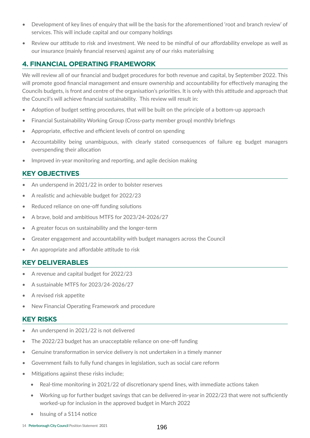- Development of key lines of enquiry that will be the basis for the aforementioned 'root and branch review' of services. This will include capital and our company holdings
- Review our attitude to risk and investment. We need to be mindful of our affordability envelope as well as our insurance (mainly financial reserves) against any of our risks materialising

#### **4. FINANCIAL OPERATING FRAMEWORK**

We will review all of our financial and budget procedures for both revenue and capital, by September 2022. This will promote good financial management and ensure ownership and accountability for effectively managing the Councils budgets, is front and centre of the organisation's priorities. It is only with this attitude and approach that the Council's will achieve financial sustainability. This review will result in:

- Adoption of budget setting procedures, that will be built on the principle of a bottom-up approach
- Financial Sustainability Working Group (Cross-party member group) monthly briefings
- Appropriate, effective and efficient levels of control on spending
- Accountability being unambiguous, with clearly stated consequences of failure eg budget managers overspending their allocation
- Improved in-year monitoring and reporting, and agile decision making

#### **KEY OBJECTIVES**

- An underspend in 2021/22 in order to bolster reserves
- A realistic and achievable budget for 2022/23
- Reduced reliance on one-off funding solutions
- A brave, bold and ambitious MTFS for 2023/24-2026/27
- A greater focus on sustainability and the longer-term
- Greater engagement and accountability with budget managers across the Council
- An appropriate and affordable attitude to risk

#### **KEY DELIVERABLES**

- A revenue and capital budget for 2022/23
- A sustainable MTFS for 2023/24-2026/27
- A revised risk appetite
- New Financial Operating Framework and procedure

#### **KEY RISKS**

- An underspend in 2021/22 is not delivered
- The 2022/23 budget has an unacceptable reliance on one-off funding
- Genuine transformation in service delivery is not undertaken in a timely manner
- Government fails to fully fund changes in legislation, such as social care reform
- Mitigations against these risks include;
	- Real-time monitoring in 2021/22 of discretionary spend lines, with immediate actions taken
	- Working up for further budget savings that can be delivered in-year in 2022/23 that were not sufficiently worked-up for inclusion in the approved budget in March 2022
	- Issuing of a S114 notice
- 14 **Peterborough City Council** Position Statement **2021**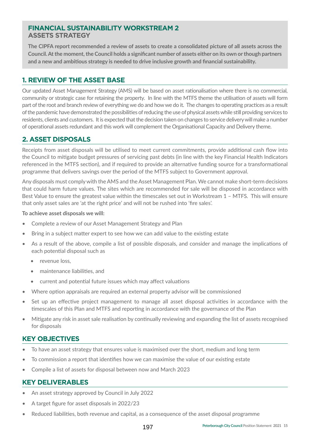#### **FINANCIAL SUSTAINABILITY WORKSTREAM 2 ASSETS STRATEGY**

**The CIPFA report recommended a review of assets to create a consolidated picture of all assets across the Council. At the moment, the Council holds a significant number of assets either on its own orthough partners and a new and ambitious strategy is needed to drive inclusive growth and financial sustainability.**

#### **1. REVIEW OF THE ASSET BASE**

Our updated Asset Management Strategy (AMS) will be based on asset rationalisation where there is no commercial, community or strategic case for retaining the property. In line with the MTFS theme the utilisation of assets will form part of the root and branch review of everything we do and how we do it. The changes to operating practices as a result of the pandemic have demonstrated the possibilities of reducing the use of physical assets while still providing services to residents, clients and customers. It is expected that the decision taken on changes to service delivery will make a number of operational assets redundant and this work will complement the Organisational Capacity and Delivery theme.

#### **2. ASSET DISPOSALS**

Receipts from asset disposals will be utilised to meet current commitments, provide additional cash flow into the Council to mitigate budget pressures of servicing past debts (in line with the key Financial Health Indicators referenced in the MTFS section), and if required to provide an alternative funding source for a transformational programme that delivers savings over the period of the MTFS subject to Government approval.

Any disposals must complywith the AMS and the Asset Management Plan. We cannot make short-term decisions that could harm future values. The sites which are recommended for sale will be disposed in accordance with Best Value to ensure the greatest value within the timescales set out in Workstream 1 – MTFS. This will ensure that only asset sales are 'at the right price' and will not be rushed into 'fire sales'.

**To achieve asset disposals we will:**

- Complete a review of our Asset Management Strategy and Plan
- Bring in a subject matter expert to see how we can add value to the existing estate
- As a result of the above, compile a list of possible disposals, and consider and manage the implications of each potential disposal such as
	- revenue loss.
	- maintenance liabilities, and
	- current and potential future issues which may affect valuations
- Where option appraisals are required an external property advisor will be commissioned
- Set up an effective project management to manage all asset disposal activities in accordance with the timescales of this Plan and MTFS and reporting in accordance with the governance of the Plan
- Mitigate any risk in asset sale realisation by continually reviewing and expanding the list of assets recognised for disposals

#### **KEY OBJECTIVES**

- To have an asset strategy that ensures value is maximised over the short, medium and long term
- To commission a report that identifies how we can maximise the value of our existing estate
- Compile a list of assets for disposal between now and March 2023

#### **KEY DELIVERABLES**

- An asset strategy approved by Council in July 2022
- A target figure for asset disposals in 2022/23
- Reduced liabilities, both revenue and capital, as a consequence of the asset disposal programme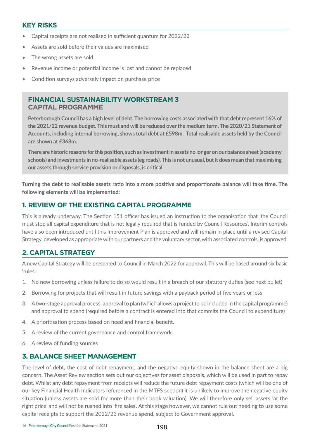#### **KEY RISKS**

- Capital receipts are not realised in sufficient quantum for 2022/23
- Assets are sold before their values are maximised
- The wrong assets are sold
- Revenue income or potential income is lost and cannot be replaced
- Condition surveys adversely impact on purchase price

#### **FINANCIAL SUSTAINABILITY WORKSTREAM 3 CAPITAL PROGRAMME**

**Peterborough Council has a high level of debt. The borrowing costs associated with that debt represent 16% of the 2021/22 revenue budget. This must and will be reduced overthe medium term. The 2020/21 Statement of Accounts, including internal borrowing, shows total debt at £598m. Total realisable assets held by the Council are shown at £368m.**

**There are historic reasons forthis position, such as investment in assets no longeron ourbalance sheet (academy schools) and investments in no-realisable assets (eg roads). This is not unusual, but it does mean that maximising our assets through service provision or disposals, is critical**

**Turning the debt to realisable assets ratio into a more positive and proportionate balance will take time. The following elements will be implemented:**

#### **1. REVIEW OF THE EXISTING CAPITAL PROGRAMME**

This is already underway. The Section 151 officer has issued an instruction to the organisation that 'the Council must stop all capital expenditure that is not legally required that is funded by Council Resources'. Interim controls have also been introduced until this Improvement Plan is approved and will remain in place until a revised Capital Strategy, developed as appropriate with our partners and the voluntary sector, with associated controls, is approved.

#### **2. CAPITAL STRATEGY**

A new Capital Strategy will be presented to Council in March 2022 for approval. This will be based around six basic 'rules':

- 1. No new borrowing unless failure to do so would result in a breach of our statutory duties (see next bullet)
- 2. Borrowing for projects that will result in future savings with a payback period of five years or less
- 3. Atwo-stage approval process: approval to plan (which allows a project to be included in the capital programme) and approval to spend (required before a contract is entered into that commits the Council to expenditure)
- 4. A prioritisation process based on need and financial benefit.
- 5. A review of the current governance and control framework
- 6. A review of funding sources

#### **3. BALANCE SHEET MANAGEMENT**

The level of debt, the cost of debt repayment, and the negative equity shown in the balance sheet are a big concern. The Asset Review section sets out our objectives for asset disposals, which will be used in part to repay debt. Whilst any debt repayment from receipts will reduce the future debt repayment costs (which will be one of our key Financial Health Indicators referenced in the MTFS section) it is unlikely to improve the negative equity situation (unless assets are sold for more than their book valuation). We will therefore only sell assets 'at the right price' and will not be rushed into 'fire sales'. At this stage however, we cannot rule out needing to use some capital receipts to support the 2022/23 revenue spend, subject to Government approval.

16 **Peterborough City Council** Position Statement **2021**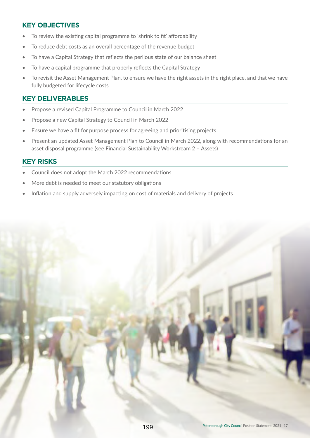#### **KEY OBJECTIVES**

- To review the existing capital programme to 'shrink to fit' affordability
- To reduce debt costs as an overall percentage of the revenue budget
- To have a Capital Strategy that reflects the perilous state of our balance sheet
- To have a capital programme that properly reflects the Capital Strategy
- To revisit the Asset Management Plan, to ensure we have the right assets in the right place, and that we have fully budgeted for lifecycle costs

#### **KEY DELIVERABLES**

- Propose a revised Capital Programme to Council in March 2022
- Propose a new Capital Strategy to Council in March 2022
- Ensure we have a fit for purpose process for agreeing and prioritising projects
- Present an updated Asset Management Plan to Council in March 2022, along with recommendations for an asset disposal programme (see Financial Sustainability Workstream 2 – Assets)

#### **KEY RISKS**

- Council does not adopt the March 2022 recommendations
- More debt is needed to meet our statutory obligations
- Inflation and supply adversely impacting on cost of materials and delivery of projects

![](_page_16_Picture_15.jpeg)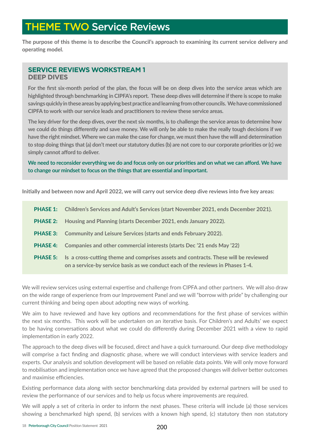# THEME TWO Service Reviews

**The purpose of this theme is to describe the Council's approach to examining its current service delivery and operating model.** 

#### **SERVICE REVIEWS WORKSTREAM 1 DEEP DIVES**

**For the first six-month period of the plan, the focus will be on deep dives into the service areas which are highlighted through benchmarking in CIPFA's report. These deep dives will determine ifthere is scope to make savings quicklyin these areas byapplying best practice and learning from othercouncils. We have commissioned CIPFA to work with our service leads and practitioners to review these service areas.**

The key driver for the deep dives, over the next six months, is to challenge the service areas to determine how **we could do things differently and save money. We will only be able to make the really tough decisions if we have the right mindset. Where we can make the case for change, we must then have the will and determination to stop doing things that (a) don't meet our statutory duties (b) are not core to our corporate priorities or(c) we simply cannot afford to deliver.**

**We need to reconsider everything we do and focus only on our priorities and on what we can afford. We have to change our mindset to focus on the things that are essential and important.**

**Initially and between now and April 2022, we will carry out service deep dive reviews into five key areas:**

| <b>PHASE 1:</b> | Children's Services and Adult's Services (start November 2021, ends December 2021).                                                                                   |
|-----------------|-----------------------------------------------------------------------------------------------------------------------------------------------------------------------|
| <b>PHASE 2:</b> | Housing and Planning (starts December 2021, ends January 2022).                                                                                                       |
| <b>PHASE 3:</b> | Community and Leisure Services (starts and ends February 2022).                                                                                                       |
| <b>PHASE 4:</b> | Companies and other commercial interests (starts Dec '21 ends May '22)                                                                                                |
| <b>PHASE 5:</b> | Is a cross-cutting theme and comprises assets and contracts. These will be reviewed<br>on a service-by service basis as we conduct each of the reviews in Phases 1-4. |

We will review services using external expertise and challenge from CIPFA and other partners. We will also draw on the wide range of experience from our Improvement Panel and we will "borrow with pride" by challenging our current thinking and being open about adopting new ways of working.

We aim to have reviewed and have key options and recommendations for the first phase of services within the next six months. This work will be undertaken on an iterative basis. For Children's and Adults' we expect to be having conversations about what we could do differently during December 2021 with a view to rapid implementation in early 2022.

The approach to the deep dives will be focused, direct and have a quick turnaround. Our deep dive methodology will comprise a fact finding and diagnostic phase, where we will conduct interviews with service leaders and experts. Our analysis and solution development will be based on reliable data points. We will only move forward to mobilisation and implementation once we have agreed that the proposed changes will deliver better outcomes and maximise efficiencies.

Existing performance data along with sector benchmarking data provided by external partners will be used to review the performance of our services and to help us focus where improvements are required.

We will apply a set of criteria in order to inform the next phases. These criteria will include (a) those services showing a benchmarked high spend, (b) services with a known high spend, (c) statutory then non statutory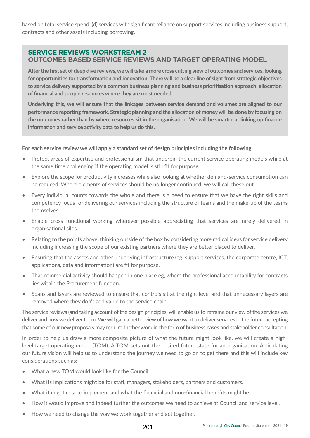based on total service spend, (d) services with significant reliance on support services including business support, contracts and other assets including borrowing.

#### **SERVICE REVIEWS WORKSTREAM 2 OUTCOMES BASED SERVICE REVIEWS AND TARGET OPERATING MODEL**

**Afterthe first set of deep dive reviews, we will take a more cross cutting view of outcomes and services, looking for opportunities fortransformation and innovation. There will be a clearline of sight from strategic objectives to service delivery supported by a common business planning and business prioritisation approach; allocation of financial and people resources where they are most needed.** 

**Underlying this, we will ensure that the linkages between service demand and volumes are aligned to our performance reporting framework. Strategic planning and the allocation of money will be done by focusing on the outcomes rather than by where resources sit in the organisation. We will be smarter at linking up finance information and service activity data to help us do this.**

**For each service review we will apply a standard set of design principles including the following:**

- Protect areas of expertise and professionalism that underpin the current service operating models while at the same time challenging if the operating model is still fit for purpose.
- Explore the scope for productivity increases while also looking at whether demand/service consumption can be reduced. Where elements of services should be no longer continued, we will call these out.
- Every individual counts towards the whole and there is a need to ensure that we have the right skills and competency focus for delivering our services including the structure of teams and the make-up of the teams themselves.
- Enable cross functional working wherever possible appreciating that services are rarely delivered in organisational silos.
- Relating to the points above, thinking outside of the box by considering more radical ideas for service delivery including increasing the scope of our existing partners where they are better placed to deliver.
- Ensuring that the assets and other underlying infrastructure (eg, support services, the corporate centre, ICT, applications, data and information) are fit for purpose.
- That commercial activity should happen in one place eg, where the professional accountability for contracts lies within the Procurement function.
- Spans and layers are reviewed to ensure that controls sit at the right level and that unnecessary layers are removed where they don't add value to the service chain.

The service reviews (and taking account of the design principles) will enable us to reframe our view of the services we deliver and how we deliver them. We will gain a better view of how we want to deliver services in the future accepting that some of our new proposals may require further work in the form of business cases and stakeholder consultation.

In order to help us draw a more composite picture of what the future might look like, we will create a highlevel target operating model (TOM). A TOM sets out the desired future state for an organisation. Articulating our future vision will help us to understand the journey we need to go on to get there and this will include key considerations such as:

- What a new TOM would look like for the Council.
- What its implications might be for staff, managers, stakeholders, partners and customers.
- What it might cost to implement and what the financial and non-financial benefits might be.
- How it would improve and indeed further the outcomes we need to achieve at Council and service level.
- How we need to change the way we work together and act together.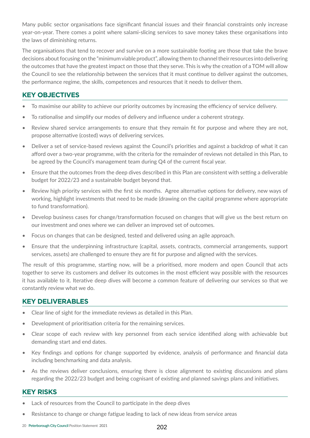Many public sector organisations face significant financial issues and their financial constraints only increase year-on-year. There comes a point where salami-slicing services to save money takes these organisations into the laws of diminishing returns.

The organisations that tend to recover and survive on a more sustainable footing are those that take the brave decisions about focusing on the "minimum viable product", allowing them to channel theirresources into delivering the outcomes that have the greatest impact on those that they serve. This is why the creation of a TOM will allow the Council to see the relationship between the services that it must continue to deliver against the outcomes, the performance regime, the skills, competences and resources that it needs to deliver them.

#### **KEY OBJECTIVES**

- To maximise our ability to achieve our priority outcomes by increasing the efficiency of service delivery.
- To rationalise and simplify our modes of delivery and influence under a coherent strategy.
- Review shared service arrangements to ensure that they remain fit for purpose and where they are not, propose alternative (costed) ways of delivering services.
- Deliver a set of service-based reviews against the Council's priorities and against a backdrop of what it can afford over a two-year programme, with the criteria for the remainder of reviews not detailed in this Plan, to be agreed by the Council's management team during Q4 of the current fiscal year.
- Ensure that the outcomes from the deep dives described in this Plan are consistent with setting a deliverable budget for 2022/23 and a sustainable budget beyond that.
- Review high priority services with the first six months. Agree alternative options for delivery, new ways of working, highlight investments that need to be made (drawing on the capital programme where appropriate to fund transformation).
- Develop business cases for change/transformation focused on changes that will give us the best return on our investment and ones where we can deliver an improved set of outcomes.
- Focus on changes that can be designed, tested and delivered using an agile approach.
- Ensure that the underpinning infrastructure (capital, assets, contracts, commercial arrangements, support services, assets) are challenged to ensure they are fit for purpose and aligned with the services.

The result of this programme, starting now, will be a prioritised, more modern and open Council that acts together to serve its customers and deliver its outcomes in the most efficient way possible with the resources it has available to it. Iterative deep dives will become a common feature of delivering our services so that we constantly review what we do.

#### **KEY DELIVERABLES**

- Clear line of sight for the immediate reviews as detailed in this Plan.
- Development of prioritisation criteria for the remaining services.
- Clear scope of each review with key personnel from each service identified along with achievable but demanding start and end dates.
- Key findings and options for change supported by evidence, analysis of performance and financial data including benchmarking and data analysis.
- As the reviews deliver conclusions, ensuring there is close alignment to existing discussions and plans regarding the 2022/23 budget and being cognisant of existing and planned savings plans and initiatives.

#### **KEY RISKS**

- Lack of resources from the Council to participate in the deep dives
- Resistance to change or change fatigue leading to lack of new ideas from service areas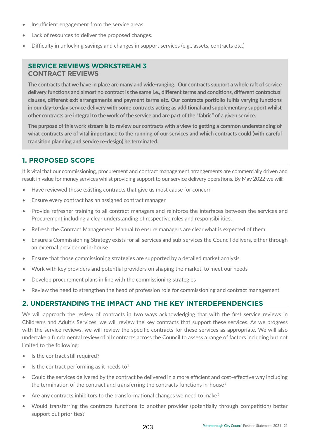- Insufficient engagement from the service areas.
- Lack of resources to deliver the proposed changes.
- Difficulty in unlocking savings and changes in support services (e.g., assets, contracts etc.)

#### **SERVICE REVIEWS WORKSTREAM 3 CONTRACT REVIEWS**

**The contracts that we have in place are many and wide-ranging. Our contracts support a whole raft of service delivery functions and almost no contract is the same I.e., different terms and conditions, different contractual clauses, different exit arrangements and payment terms etc. Our contracts portfolio fulfils varying functions in our day-to-day service delivery with some contracts acting as additional and supplementary support whilst other contracts are integral to the work of the service and are part of the "fabric" of a given service.**

**The purpose of this work stream is to review our contracts with a view to getting a common understanding of what contracts are of vital importance to the running of our services and which contracts could (with careful transition planning and service re-design) be terminated.**

#### **1. PROPOSED SCOPE**

It is vital that our commissioning, procurement and contract management arrangements are commercially driven and result in value for money services whilst providing support to our service delivery operations. By May 2022 we will:

- Have reviewed those existing contracts that give us most cause for concern
- Ensure every contract has an assigned contract manager
- Provide refresher training to all contract managers and reinforce the interfaces between the services and Procurement including a clear understanding of respective roles and responsibilities.
- Refresh the Contract Management Manual to ensure managers are clear what is expected of them
- Ensure a Commissioning Strategy exists for all services and sub-services the Council delivers, either through an external provider or in-house
- Ensure that those commissioning strategies are supported by a detailed market analysis
- Work with key providers and potential providers on shaping the market, to meet our needs
- Develop procurement plans in line with the commissioning strategies
- Review the need to strengthen the head of profession role for commissioning and contract management

#### **2. UNDERSTANDING THE IMPACT AND THE KEY INTERDEPENDENCIES**

We will approach the review of contracts in two ways acknowledging that with the first service reviews in Children's and Adult's Services, we will review the key contracts that support these services. As we progress with the service reviews, we will review the specific contracts for these services as appropriate. We will also undertake a fundamental review of all contracts across the Council to assess a range of factors including but not limited to the following:

- Is the contract still required?
- Is the contract performing as it needs to?
- Could the services delivered by the contract be delivered in a more efficient and cost-effective way including the termination of the contract and transferring the contracts functions in-house?
- Are any contracts inhibitors to the transformational changes we need to make?
- Would transferring the contracts functions to another provider (potentially through competition) better support out priorities?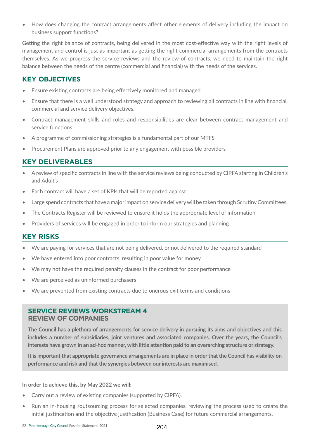• How does changing the contract arrangements affect other elements of delivery including the impact on business support functions?

Getting the right balance of contracts, being delivered in the most cost-effective way with the right levels of management and control is just as important as getting the right commercial arrangements from the contracts themselves. As we progress the service reviews and the review of contracts, we need to maintain the right balance between the needs of the centre (commercial and financial) with the needs of the services.

#### **KEY OBJECTIVES**

- Ensure existing contracts are being effectively monitored and managed
- Ensure that there is a well understood strategy and approach to reviewing all contracts in line with financial, commercial and service delivery objectives.
- Contract management skills and roles and responsibilities are clear between contract management and service functions
- A programme of commissioning strategies is a fundamental part of our MTFS
- Procurement Plans are approved prior to any engagement with possible providers

#### **KEY DELIVERABLES**

- • A review of specific contracts in line with the service reviews being conducted by CIPFA starting in Children's and Adult's
- Each contract will have a set of KPIs that will be reported against
- Large spend contracts that have a major impact on service delivery will be taken through Scrutiny Committees.
- The Contracts Register will be reviewed to ensure it holds the appropriate level of information
- Providers of services will be engaged in order to inform our strategies and planning

#### **KEY RISKS**

- We are paying for services that are not being delivered, or not delivered to the required standard
- We have entered into poor contracts, resulting in poor value for money
- We may not have the required penalty clauses in the contract for poor performance
- We are perceived as uninformed purchasers
- We are prevented from existing contracts due to onerous exit terms and conditions

#### **SERVICE REVIEWS WORKSTREAM 4 REVIEW OF COMPANIES**

**The Council has a plethora of arrangements for service delivery in pursuing its aims and objectives and this includes a number of subsidiaries, joint ventures and associated companies. Over the years, the Council's interests have grown in an ad-hoc manner, with little attention paid to an overarching structure or strategy.**

It is important that appropriate governance arrangements are in place in order that the Council has visibility on **performance and risk and that the synergies between our interests are maximised.**

**In order to achieve this, by May 2022 we will:**

- Carry out a review of existing companies (supported by CIPFA).
- Run an in-housing /outsourcing process for selected companies, reviewing the process used to create the initial justification and the objective justification (Business Case) for future commercial arrangements.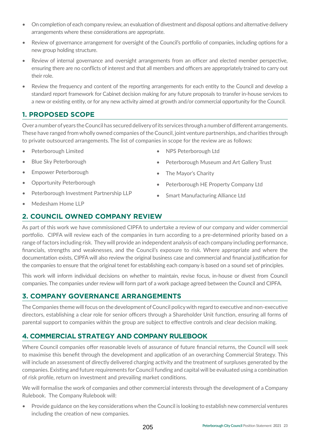- On completion of each company review, an evaluation of divestment and disposal options and alternative delivery arrangements where these considerations are appropriate.
- Review of governance arrangement for oversight of the Council's portfolio of companies, including options for a new group holding structure.
- Review of internal governance and oversight arrangements from an officer and elected member perspective, ensuring there are no conflicts of interest and that all members and officers are appropriately trained to carry out their role.
- Review the frequency and content of the reporting arrangements for each entity to the Council and develop a standard report framework for Cabinet decision making for any future proposals to transfer in-house services to a new or existing entity, or for any new activity aimed at growth and/or commercial opportunity for the Council.

#### **1. PROPOSED SCOPE**

Over a numberofyears the Council has secured deliveryofits services through a numberofdifferent arrangements. These have ranged from wholly owned companies ofthe Council, joint venture partnerships, and charities through to private outsourced arrangements. The list of companies in scope for the review are as follows:

- Peterborough Limited
- Blue Sky Peterborough
- Empower Peterborough
- Opportunity Peterborough
- Peterborough Investment Partnership LLP
- Medesham Home LLP
- **2. COUNCIL OWNED COMPANY REVIEW**

As part of this work we have commissioned CIPFA to undertake a review of our company and wider commercial portfolio. CIPFA will review each of the companies in turn according to a pre-determined priority based on a range of factors including risk. They will provide an independent analysis of each company including performance, financials, strengths and weaknesses, and the Council's exposure to risk. Where appropriate and where the documentation exists, CIPFA will also review the original business case and commercial and financial justification for the companies to ensure that the original tenet for establishing each company is based on a sound set of principles.

This work will inform individual decisions on whether to maintain, revise focus, in-house or divest from Council companies. The companies under review will form part of a work package agreed between the Council and CIPFA.

#### **3. COMPANY GOVERNANCE ARRANGEMENTS**

The Companies theme will focus on the development of Council policy with regard to executive and non-executive directors, establishing a clear role for senior officers through a Shareholder Unit function, ensuring all forms of parental support to companies within the group are subject to effective controls and clear decision making.

#### **4. COMMERCIAL STRATEGY AND COMPANY RULEBOOK**

Where Council companies offer reasonable levels of assurance of future financial returns, the Council will seek to maximise this benefit through the development and application of an overarching Commercial Strategy. This will include an assessment of directly delivered charging activity and the treatment of surpluses generated by the companies. Existing and future requirements forCouncil funding and capital will be evaluated using a combination of risk profile, return on investment and prevailing market conditions.

We will formalise the work of companies and other commercial interests through the development of a Company Rulebook. The Company Rulebook will:

• Provide guidance on the key considerations when the Council is looking to establish new commercial ventures including the creation of new companies.

- NPS Peterborough Ltd
- Peterborough Museum and Art Gallery Trust
- The Mayor's Charity
- Peterborough HE Property Company Ltd
- Smart Manufacturing Alliance Ltd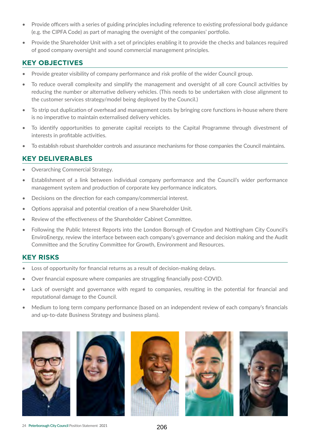- Provide officers with a series of guiding principles including reference to existing professional body guidance (e.g. the CIPFA Code) as part of managing the oversight of the companies' portfolio.
- Provide the Shareholder Unit with a set of principles enabling it to provide the checks and balances required of good company oversight and sound commercial management principles.

#### **KEY OBJECTIVES**

- Provide greater visibility of company performance and risk profile of the wider Council group.
- To reduce overall complexity and simplify the management and oversight of all core Council activities by reducing the number or alternative delivery vehicles. (This needs to be undertaken with close alignment to the customer services strategy/model being deployed by the Council.)
- To strip out duplication of overhead and management costs by bringing core functions in-house where there is no imperative to maintain externalised delivery vehicles.
- To identify opportunities to generate capital receipts to the Capital Programme through divestment of interests in profitable activities.
- To establish robust shareholder controls and assurance mechanisms for those companies the Council maintains.

#### **KEY DELIVERABLES**

- Overarching Commercial Strategy.
- Establishment of a link between individual company performance and the Council's wider performance management system and production of corporate key performance indicators.
- Decisions on the direction for each company/commercial interest.
- Options appraisal and potential creation of a new Shareholder Unit.
- Review of the effectiveness of the Shareholder Cabinet Committee.
- Following the Public Interest Reports into the London Borough of Croydon and Nottingham City Council's EnviroEnergy, review the interface between each company's governance and decision making and the Audit Committee and the Scrutiny Committee for Growth, Environment and Resources.

#### **KEY RISKS**

- Loss of opportunity for financial returns as a result of decision-making delays.
- Over financial exposure where companies are struggling financially post-COVID.
- Lack of oversight and governance with regard to companies, resulting in the potential for financial and reputational damage to the Council.
- Medium to long term company performance (based on an independent review of each company's financials and up-to-date Business Strategy and business plans).

![](_page_23_Picture_20.jpeg)

![](_page_23_Picture_21.jpeg)

![](_page_23_Picture_22.jpeg)

![](_page_23_Picture_23.jpeg)

![](_page_23_Picture_24.jpeg)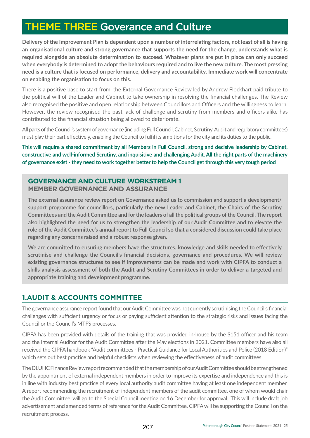## THEME THREE Goverance and Culture

 **Delivery of the Improvement Plan is dependent upon a number of interrelating factors, not least of all is having an organisational culture and strong governance that supports the need for the change, understands what is required alongside an absolute determination to succeed. Whatever plans are put in place can only succeed when everybody is determined to adopt the behaviours required and to live the new culture. The most pressing need is a culture that is focused on performance, delivery and accountability. Immediate work will concentrate on enabling the organisation to focus on this.**

 There is a positive base to start from, the External Governance Review led by Andrew Flockhart paid tribute to the political will of the Leader and Cabinet to take ownership in resolving the financial challenges. The Review also recognised the positive and open relationship between Councillors and Officers and the willingness to learn. However, the review recognised the past lack of challenge and scrutiny from members and officers alike has contributed to the financial situation being allowed to deteriorate.

All parts of the Council's system of governance (including Full Council, Cabinet, Scrutiny, Audit and regulatory committees) must play their part effectively, enabling the Council to fulfil its ambitions for the city and its duties to the public.

 **This will require a shared commitment by all Members in Full Council, strong and decisive leadership by Cabinet, constructive and well-informed Scrutiny, and inquisitive and challenging Audit. All the right parts of the machinery of governance exist - they need to work together better to help the Council get through this very tough period**

#### **GOVERNANCE AND CULTURE WORKSTREAM 1 MEMBER GOVERNANCE AND ASSURANCE**

**The external assurance review report on Governance asked us to commission and support a development/ support programme for councillors, particularly the new Leader and Cabinet, the Chairs of the Scrutiny Committees and the Audit Committee and forthe leaders of all the political groups ofthe Council. The report also highlighted the need for us to strengthen the leadership of our Audit Committee and to elevate the role of the Audit Committee's annual report to Full Council so that a considered discussion could take place regarding any concerns raised and a robust response given.**

**We are committed to ensuring members have the structures, knowledge and skills needed to effectively scrutinise and challenge the Council's financial decisions, governance and procedures. We will review existing governance structures to see if improvements can be made and work with CIPFA to conduct a skills analysis assessment of both the Audit and Scrutiny Committees in order to deliver a targeted and appropriate training and development programme.**

#### **1.AUDIT & ACCOUNTS COMMITTEE**

The governance assurance report found that our Audit Committee was not currently scrutinising the Council's financial challenges with sufficient urgency or focus or paying sufficient attention to the strategic risks and issues facing the Council or the Council's MTFS processes.

CIPFA has been provided with details of the training that was provided in-house by the S151 officer and his team and the Internal Auditor for the Audit Committee after the May elections in 2021. Committee members have also all received the CIPFA handbook "Audit committees - Practical Guidance for Local Authorities and Police (2018 Edition)" which sets out best practice and helpful checklists when reviewing the effectiveness of audit committees.

The DLUHC Finance Reviewreport recommended that the membership ofourAudit Committee should be strengthened by the appointment of external independent members in order to improve its expertise and independence and this is in line with industry best practice of every local authority audit committee having at least one independent member. A report recommending the recruitment of independent members of the audit committee, one of whom would chair the Audit Committee, will go to the Special Council meeting on 16 December for approval. This will include draft job advertisement and amended terms of reference for the Audit Committee. CIPFA will be supporting the Council on the recruitment process.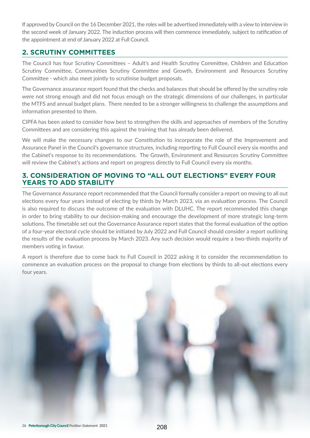If approved by Council on the 16 December 2021, the roles will be advertised immediatelywith a view to interview in the second week of January 2022. The induction process will then commence immediately, subject to ratification of the appointment at end of January 2022 at Full Council.

#### **2. SCRUTINY COMMITTEES**

The Council has four Scrutiny Committees – Adult's and Health Scrutiny Committee, Children and Education Scrutiny Committee, Communities Scrutiny Committee and Growth, Environment and Resources Scrutiny Committee - which also meet jointly to scrutinise budget proposals.

The Governance assurance report found that the checks and balances that should be offered by the scrutiny role were not strong enough and did not focus enough on the strategic dimensions of our challenges, in particular the MTFS and annual budget plans. There needed to be a stronger willingness to challenge the assumptions and information presented to them.

CIPFA has been asked to consider how best to strengthen the skills and approaches of members of the Scrutiny Committees and are considering this against the training that has already been delivered.

We will make the necessary changes to our Constitution to incorporate the role of the Improvement and Assurance Panel in the Council's governance structures, including reporting to Full Council every six months and the Cabinet's response to its recommendations. The Growth, Environment and Resources Scrutiny Committee will review the Cabinet's actions and report on progress directly to Full Council every six months.

#### **3. CONSIDERATION OF MOVING TO "ALL OUT ELECTIONS" EVERY FOUR YEARS TO ADD STABILITY**

The Governance Assurance report recommended that the Council formally consider a report on moving to all out elections every four years instead of electing by thirds by March 2023, via an evaluation process. The Council is also required to discuss the outcome of the evaluation with DLUHC. The report recommended this change in order to bring stability to our decision-making and encourage the development of more strategic long-term solutions. The timetable set out the Governance Assurance report states that the formal evaluation of the option of a four-year electoral cycle should be initiated by July 2022 and Full Council should consider a report outlining the results of the evaluation process by March 2023. Any such decision would require a two-thirds majority of members voting in favour.

A report is therefore due to come back to Full Council in 2022 asking it to consider the recommendation to commence an evaluation process on the proposal to change from elections by thirds to all-out elections every four years.

![](_page_25_Picture_9.jpeg)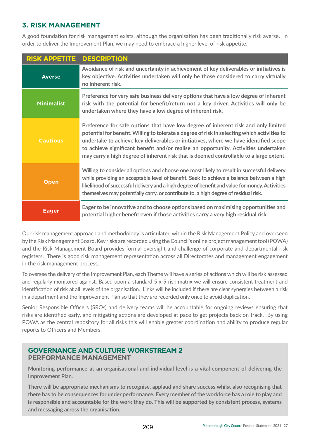#### **3. RISK MANAGEMENT**

A good foundation for risk management exists, although the organisation has been traditionally risk averse. In order to deliver the Improvement Plan, we may need to embrace a higher level of risk appetite.

| <b>RISK APPETITE</b> | <b>DESCRIPTION</b>                                                                                                                                                                                                                                                                                                                                                                                                                                           |
|----------------------|--------------------------------------------------------------------------------------------------------------------------------------------------------------------------------------------------------------------------------------------------------------------------------------------------------------------------------------------------------------------------------------------------------------------------------------------------------------|
| <b>Averse</b>        | Avoidance of risk and uncertainty in achievement of key deliverables or initiatives is<br>key objective. Activities undertaken will only be those considered to carry virtually<br>no inherent risk.                                                                                                                                                                                                                                                         |
| <b>Minimalist</b>    | Preference for very safe business delivery options that have a low degree of inherent<br>risk with the potential for benefit/return not a key driver. Activities will only be<br>undertaken where they have a low degree of inherent risk.                                                                                                                                                                                                                   |
| <b>Cautious</b>      | Preference for safe options that have low degree of inherent risk and only limited<br>potential for benefit. Willing to tolerate a degree of risk in selecting which activities to<br>undertake to achieve key deliverables or initiatives, where we have identified scope<br>to achieve significant benefit and/or realise an opportunity. Activities undertaken<br>may carry a high degree of inherent risk that is deemed controllable to a large extent. |
| Open                 | Willing to consider all options and choose one most likely to result in successful delivery<br>while providing an acceptable level of benefit. Seek to achieve a balance between a high<br>likelihood of successful delivery and a high degree of benefit and value for money. Activities<br>themselves may potentially carry, or contribute to, a high degree of residual risk.                                                                             |
| <b>Eager</b>         | Eager to be innovative and to choose options based on maximising opportunities and<br>potential higher benefit even if those activities carry a very high residual risk.                                                                                                                                                                                                                                                                                     |

Our risk management approach and methodology is articulated within the Risk Management Policy and overseen bythe Risk Management Board. Keyrisks are recorded using the Council's online project management tool (POWA) and the Risk Management Board provides formal oversight and challenge of corporate and departmental risk registers. There is good risk management representation across all Directorates and management engagement in the risk management process.

 To oversee the delivery of the Improvement Plan, each Theme will have a series of actions which will be risk assessed and regularly monitored against. Based upon a standard 5 x 5 risk matrix we will ensure consistent treatment and identification of risk at all levels of the organisation. Links will be included if there are clear synergies between a risk in a department and the Improvement Plan so that they are recorded only once to avoid duplication.

 risks are identified early, and mitigating actions are developed at pace to get projects back on track. By using POWA as the central repository for all risks this will enable greater coordination and ability to produce regular Senior Responsible Officers (SROs) and delivery teams will be accountable for ongoing reviews ensuring that reports to Officers and Members.

#### **GOVERNANCE AND CULTURE WORKSTREAM 2 PERFORMANCE MANAGEMENT**

**Monitoring performance at an organisational and individual level is a vital component of delivering the Improvement Plan.**

**There will be appropriate mechanisms to recognise, applaud and share success whilst also recognising that there has to be consequences for under performance. Every member of the workforce has a role to play and is responsible and accountable for the work they do. This will be supported by consistent process, systems and messaging across the organisation.**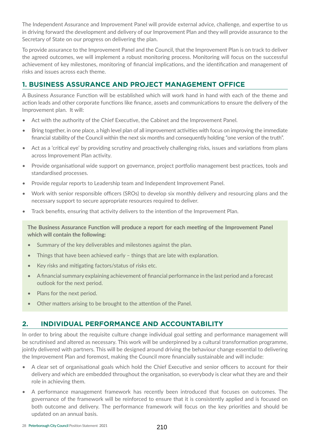The Independent Assurance and Improvement Panel will provide external advice, challenge, and expertise to us in driving forward the development and delivery of our Improvement Plan and they will provide assurance to the Secretary of State on our progress on delivering the plan.

 achievement of key milestones, monitoring of financial implications, and the identification and management of To provide assurance to the Improvement Panel and the Council, that the Improvement Plan is on track to deliver the agreed outcomes, we will implement a robust monitoring process. Monitoring will focus on the successful risks and issues across each theme.

#### **1. BUSINESS ASSURANCE AND PROJECT MANAGEMENT OFFICE**

A Business Assurance Function will be established which will work hand in hand with each of the theme and action leads and other corporate functions like finance, assets and communications to ensure the delivery of the Improvement plan. It will:

- Act with the authority of the Chief Executive, the Cabinet and the Improvement Panel.
- Bring together, in one place, a high level plan of all improvement activities with focus on improving the immediate financial stability of the Council within the next six months and consequently holding "one version of the truth".
- Act as a 'critical eye' by providing scrutiny and proactively challenging risks, issues and variations from plans across Improvement Plan activity.
- Provide organisational wide support on governance, project portfolio management best practices, tools and standardised processes.
- Provide regular reports to Leadership team and Independent Improvement Panel.
- Work with senior responsible officers (SROs) to develop six monthly delivery and resourcing plans and the necessary support to secure appropriate resources required to deliver.
- Track benefits, ensuring that activity delivers to the intention of the Improvement Plan.

**The Business Assurance Function will produce a report for each meeting of the Improvement Panel which will contain the following:**

- Summary of the key deliverables and milestones against the plan.
- Things that have been achieved early things that are late with explanation.
- Key risks and mitigating factors/status of risks etc.
- Afinancial summary explaining achievement of financial performance in the last period and a forecast outlook for the next period.
- Plans for the next period.
- Other matters arising to be brought to the attention of the Panel.

#### **2. INDIVIDUAL PERFORMANCE AND ACCOUNTABILITY**

In order to bring about the requisite culture change individual goal setting and performance management will be scrutinised and altered as necessary. This work will be underpinned by a cultural transformation programme, jointly delivered with partners. This will be designed around driving the behaviour change essential to delivering the Improvement Plan and foremost, making the Council more financially sustainable and will include:

- A clear set of organisational goals which hold the Chief Executive and senior officers to account for their delivery and which are embedded throughout the organisation, so everybody is clear what they are and their role in achieving them.
- A performance management framework has recently been introduced that focuses on outcomes. The governance of the framework will be reinforced to ensure that it is consistently applied and is focused on both outcome and delivery. The performance framework will focus on the key priorities and should be updated on an annual basis.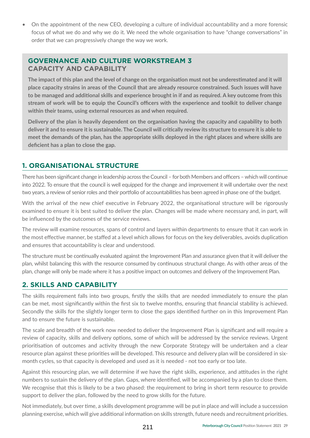• On the appointment of the new CEO, developing a culture of individual accountability and a more forensic focus of what we do and why we do it. We need the whole organisation to have "change conversations" in order that we can progressively change the way we work.

#### **GOVERNANCE AND CULTURE WORKSTREAM 3 CAPACITY AND CAPABILITY**

**The impact of this plan and the level of change on the organisation must not be underestimated and it will place capacity strains in areas of the Council that are already resource constrained. Such issues will have to be managed and additional skills and experience brought in if and as required. A key outcome from this stream of work will be to equip the Council's officers with the experience and toolkit to deliver change within their teams, using external resources as and when required.**

**Delivery of the plan is heavily dependent on the organisation having the capacity and capability to both deliver it and to ensure it is sustainable. The Council will critically review its structure to ensure it is able to meet the demands of the plan, has the appropriate skills deployed in the right places and where skills are deficient has a plan to close the gap.**

#### **1. ORGANISATIONAL STRUCTURE**

There has been significant change in leadership across the Council - for both Members and officers - which will continue into 2022. To ensure that the council is well equipped for the change and improvement it will undertake over the next two years, a review of senior roles and their portfolio of accountabilities has been agreed in phase one of the budget.

With the arrival of the new chief executive in February 2022, the organisational structure will be rigorously examined to ensure it is best suited to deliver the plan. Changes will be made where necessary and, in part, will be influenced by the outcomes of the service reviews.

The review will examine resources, spans of control and layers within departments to ensure that it can work in the most effective manner, be staffed at a level which allows for focus on the key deliverables, avoids duplication and ensures that accountability is clear and understood.

The structure must be continually evaluated against the Improvement Plan and assurance given that it will deliver the plan, whilst balancing this with the resource consumed by continuous structural change. As with other areas of the plan, change will only be made where it has a positive impact on outcomes and delivery of the Improvement Plan.

#### **2. SKILLS AND CAPABILITY**

The skills requirement falls into two groups, firstly the skills that are needed immediately to ensure the plan can be met, most significantly within the first six to twelve months, ensuring that financial stability is achieved. Secondly the skills for the slightly longer term to close the gaps identified further on in this Improvement Plan and to ensure the future is sustainable.

The scale and breadth of the work now needed to deliver the Improvement Plan is significant and will require a review of capacity, skills and delivery options, some of which will be addressed by the service reviews. Urgent prioritisation of outcomes and activity through the new Corporate Strategy will be undertaken and a clear resource plan against these priorities will be developed. This resource and delivery plan will be considered in sixmonth cycles, so that capacity is developed and used as it is needed - not too early or too late.

Against this resourcing plan, we will determine if we have the right skills, experience, and attitudes in the right numbers to sustain the delivery of the plan. Gaps, where identified, will be accompanied by a plan to close them. We recognise that this is likely to be a two phased: the requirement to bring in short term resource to provide support to deliver the plan, followed by the need to grow skills for the future.

Not immediately, but over time, a skills development programme will be put in place and will include a succession planning exercise, which will give additional information on skills strength, future needs and recruitment priorities.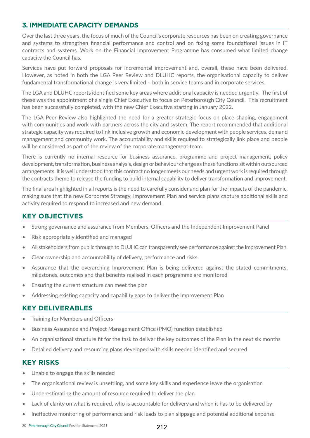#### **3. IMMEDIATE CAPACITY DEMANDS**

Over the last three years, the focus of much of the Council's corporate resources has been on creating governance and systems to strengthen financial performance and control and on fixing some foundational issues in IT contracts and systems. Work on the Financial Improvement Programme has consumed what limited change capacity the Council has.

Services have put forward proposals for incremental improvement and, overall, these have been delivered. However, as noted in both the LGA Peer Review and DLUHC reports, the organisational capacity to deliver fundamental transformational change is very limited – both in service teams and in corporate services.

The LGA and DLUHC reports identified some key areas where additional capacity is needed urgently. The first of these was the appointment of a single Chief Executive to focus on Peterborough City Council. This recruitment has been successfully completed, with the new Chief Executive starting in January 2022.

The LGA Peer Review also highlighted the need for a greater strategic focus on place shaping, engagement with communities and work with partners across the city and system. The report recommended that additional strategic capacity was required to link inclusive growth and economic development with people services, demand management and community work. The accountability and skills required to strategically link place and people will be considered as part of the review of the corporate management team.

There is currently no internal resource for business assurance, programme and project management, policy development, transformation, business analysis, design orbehaviour change as these functions sit within outsourced arrangements. It is well understood that this contract no longer meets our needs and urgent work is required through the contracts theme to release the funding to build internal capability to deliver transformation and improvement.

The final area highlighted in all reports is the need to carefully consider and plan for the impacts of the pandemic, making sure that the new Corporate Strategy, Improvement Plan and service plans capture additional skills and activity required to respond to increased and new demand.

#### **KEY OBJECTIVES**

- Strong governance and assurance from Members, Officers and the Independent Improvement Panel
- Risk appropriately identified and managed
- All stakeholders from public through to DLUHC can transparently see performance against the Improvement Plan.
- Clear ownership and accountability of delivery, performance and risks
- Assurance that the overarching Improvement Plan is being delivered against the stated commitments, milestones, outcomes and that benefits realised in each programme are monitored
- Ensuring the current structure can meet the plan
- Addressing existing capacity and capability gaps to deliver the Improvement Plan

#### **KEY DELIVERABLES**

- Training for Members and Officers
- Business Assurance and Project Management Office (PMO) function established
- An organisational structure fit for the task to deliver the key outcomes of the Plan in the next six months
- Detailed delivery and resourcing plans developed with skills needed identified and secured

#### **KEY RISKS**

- Unable to engage the skills needed
- The organisational review is unsettling, and some key skills and experience leave the organisation
- Underestimating the amount of resource required to deliver the plan
- Lack of clarity on what is required, who is accountable for delivery and when it has to be delivered by
- Ineffective monitoring of performance and risk leads to plan slippage and potential additional expense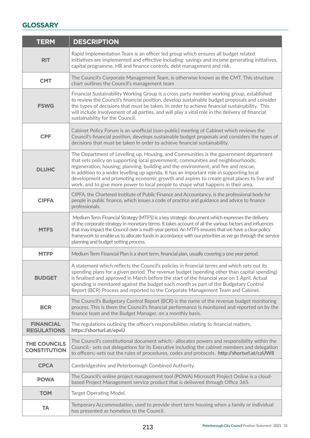| <b>GLOSSARY</b>                        |                                                                                                                                                                                                                                                                                                                                                                                                                                                                                                                                               |
|----------------------------------------|-----------------------------------------------------------------------------------------------------------------------------------------------------------------------------------------------------------------------------------------------------------------------------------------------------------------------------------------------------------------------------------------------------------------------------------------------------------------------------------------------------------------------------------------------|
|                                        |                                                                                                                                                                                                                                                                                                                                                                                                                                                                                                                                               |
| <b>TERM</b>                            | <b>DESCRIPTION</b>                                                                                                                                                                                                                                                                                                                                                                                                                                                                                                                            |
| <b>RIT</b>                             | Rapid Implementation Team is an officer led group which ensures all budget related<br>initiatives are implemented and effective including: savings and income generating initiatives,<br>capital programme, HR and finance controls, debt management and risk.                                                                                                                                                                                                                                                                                |
| <b>CMT</b>                             | The Council's Corporate Management Team, is otherwise known as the CMT. This structure<br>chart outlines the Council's management team                                                                                                                                                                                                                                                                                                                                                                                                        |
| <b>FSWG</b>                            | Financial Sustainability Working Group is a cross party member working group, established<br>to review the Council's financial position, develop sustainable budget proposals and consider<br>the types of decisions that must be taken. In order to achieve financial sustainability. This<br>will include Involvement of all parties, and will play a vital role in the delivery of financial<br>sustainability for the Council.                                                                                                            |
| <b>CPF</b>                             | Cabinet Policy Forum is an unofficial (non-public) meeting of Cabinet which reviews the<br>Council's financial position, develops sustainable budget proposals and considers the types of<br>decisions that must be taken In order to achieve financial sustainability.                                                                                                                                                                                                                                                                       |
| <b>DLUHC</b>                           | The Department of Levelling up, Housing, and Communities is the government department<br>that sets policy on supporting local government; communities and neighbourhoods;<br>regeneration; housing; planning, building and the environment; and fire and rescue,<br>in addition to a wider levelling up agenda. It has an important role in supporting local<br>development and promoting economic growth and aspires to create great places to live and<br>work, and to give more power to local people to shape what happens in their area. |
| <b>CIPFA</b>                           | CIPFA, the Chartered Institute of Public Finance and Accountancy, is the professional body for<br>people in public finance, which issues a code of practice and guidance and advice to finance<br>professionals.                                                                                                                                                                                                                                                                                                                              |
| <b>MTFS</b>                            | Medium Term Financial Strategy (MTFS) is a key strategic document which expresses the delivery<br>of the corporate strategy in monetary terms. It takes account of all the various factors and influences<br>that may impact the Council over a multi-year period. An MTFS ensures that we have a clear policy<br>framework to enable us to allocate funds in accordance with our priorities as we go through the service<br>planning and budget setting process.                                                                             |
| <b>MTFP</b>                            | Medium Term Financial Plan is a short term, financial plan, usually covering a one year period.                                                                                                                                                                                                                                                                                                                                                                                                                                               |
| <b>BUDGET</b>                          | A statement which reflects the Council's policies in financial terms and which sets out its<br>spending plans for a given period. The revenue budget (spending other than capital spending)<br>is finalised and approved in March before the start of the financial year on 1 April. Actual<br>spending is monitored against the budget each month as part of the Budgetary Control<br>Report (BCR) Process and reported to the Corporate Management Team and Cabinet.                                                                        |
| <b>BCR</b>                             | The Council's Budgetary Control Report (BCR) is the name of the revenue budget monitoring<br>process. This is there the Council's financial performance is monitored and reported on by the<br>finance team and the Budget Manager, on a monthly basis.                                                                                                                                                                                                                                                                                       |
| <b>FINANCIAL</b><br><b>REGULATIONS</b> | The regulations outlining the officer's responsibilities relating to financial matters.<br>https://shorturl.at/epvlJ                                                                                                                                                                                                                                                                                                                                                                                                                          |
| THE COUNCILS<br><b>CONSTITUTION</b>    | The Council's constitutional document which;- allocates powers and responsibility within the<br>Council;- sets out delegations for its Executive including the cabinet members and delegation<br>to officers;-sets out the rules of procedures, codes and protocols. http://shorturl.at/czUW8                                                                                                                                                                                                                                                 |
| <b>CPCA</b>                            | Cambridgeshire and Peterborough Combined Authority.                                                                                                                                                                                                                                                                                                                                                                                                                                                                                           |
| <b>POWA</b>                            | The Council's online project management tool (POWA) Microsoft Project Online is a cloud-<br>based Project Management service product that is delivered through Office 365.                                                                                                                                                                                                                                                                                                                                                                    |
| <b>TOM</b>                             | Target Operating Model.                                                                                                                                                                                                                                                                                                                                                                                                                                                                                                                       |
| <b>TA</b>                              | Temporary Accommodation, used to provide short term housing when a family or individual<br>has presented as homeless to the Council.                                                                                                                                                                                                                                                                                                                                                                                                          |